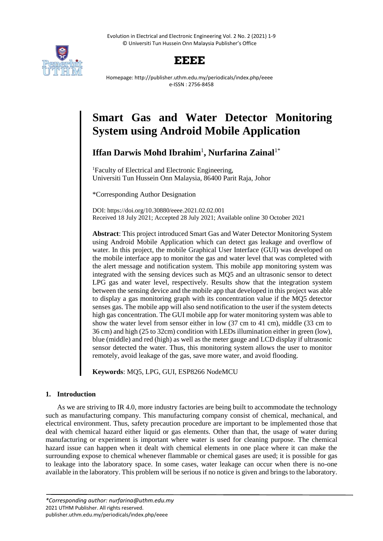Evolution in Electrical and Electronic Engineering Vol. 2 No. 2 (2021) 1-9 © Universiti Tun Hussein Onn Malaysia Publisher's Office



# **EEEE**

Homepage: http://publisher.uthm.edu.my/periodicals/index.php/eeee e-ISSN : 2756-8458

# **Smart Gas and Water Detector Monitoring System using Android Mobile Application**

# **Iffan Darwis Mohd Ibrahim**<sup>1</sup> **, Nurfarina Zainal**1\*

<sup>1</sup>Faculty of Electrical and Electronic Engineering, Universiti Tun Hussein Onn Malaysia, 86400 Parit Raja, Johor

\*Corresponding Author Designation

DOI: https://doi.org/10.30880/eeee.2021.02.02.001 Received 18 July 2021; Accepted 28 July 2021; Available online 30 October 2021

**Abstract**: This project introduced Smart Gas and Water Detector Monitoring System using Android Mobile Application which can detect gas leakage and overflow of water. In this project, the mobile Graphical User Interface (GUI) was developed on the mobile interface app to monitor the gas and water level that was completed with the alert message and notification system. This mobile app monitoring system was integrated with the sensing devices such as MQ5 and an ultrasonic sensor to detect LPG gas and water level, respectively. Results show that the integration system between the sensing device and the mobile app that developed in this project was able to display a gas monitoring graph with its concentration value if the MQ5 detector senses gas. The mobile app will also send notification to the user if the system detects high gas concentration. The GUI mobile app for water monitoring system was able to show the water level from sensor either in low (37 cm to 41 cm), middle (33 cm to 36 cm) and high (25 to 32cm) condition with LEDs illumination either in green (low), blue (middle) and red (high) as well as the meter gauge and LCD display if ultrasonic sensor detected the water. Thus, this monitoring system allows the user to monitor remotely, avoid leakage of the gas, save more water, and avoid flooding.

**Keywords**: MQ5, LPG, GUI, ESP8266 NodeMCU

# **1. Introduction**

As we are striving to IR 4.0, more industry factories are being built to accommodate the technology such as manufacturing company. This manufacturing company consist of chemical, mechanical, and electrical environment. Thus, safety precaution procedure are important to be implemented those that deal with chemical hazard either liquid or gas elements. Other than that, the usage of water during manufacturing or experiment is important where water is used for cleaning purpose. The chemical hazard issue can happen when it dealt with chemical elements in one place where it can make the surrounding expose to chemical whenever flammable or chemical gases are used; it is possible for gas to leakage into the laboratory space. In some cases, water leakage can occur when there is no-one available in the laboratory. This problem will be serious if no notice is given and brings to the laboratory.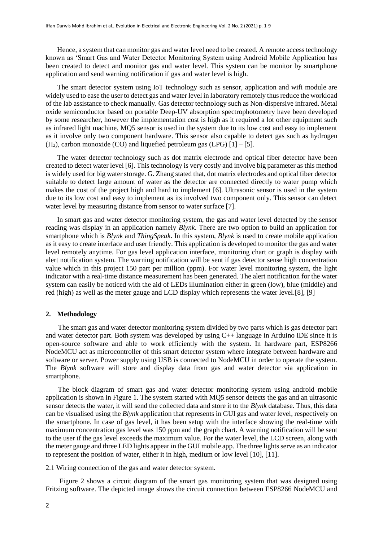Hence, a system that can monitor gas and water level need to be created. A remote access technology known as 'Smart Gas and Water Detector Monitoring System using Android Mobile Application has been created to detect and monitor gas and water level. This system can be monitor by smartphone application and send warning notification if gas and water level is high.

The smart detector system using IoT technology such as sensor, application and wifi module are widely used to ease the user to detect gas and water level in laboratory remotely thus reduce the workload of the lab assistance to check manually. Gas detector technology such as Non-dispersive infrared. Metal oxide semiconductor based on portable Deep-UV absorption spectrophotometry have been developed by some researcher, however the implementation cost is high as it required a lot other equipment such as infrared light machine. MQ5 sensor is used in the system due to its low cost and easy to implement as it involve only two component hardware. This sensor also capable to detect gas such as hydrogen  $(H<sub>2</sub>)$ , carbon monoxide (CO) and liquefied petroleum gas (LPG) [1] – [5].

The water detector technology such as dot matrix electrode and optical fiber detector have been created to detect water level [6]. This technology is very costly and involve big parameter as this method is widely used for big water storage. G. Zhang stated that, dot matrix electrodes and optical fiber detector suitable to detect large amount of water as the detector are connected directly to water pump which makes the cost of the project high and hard to implement [6]. Ultrasonic sensor is used in the system due to its low cost and easy to implement as its involved two component only. This sensor can detect water level by measuring distance from sensor to water surface [7].

In smart gas and water detector monitoring system, the gas and water level detected by the sensor reading was display in an application namely *Blynk*. There are two option to build an application for smartphone which is *Blynk* and *ThingSpeak*. In this system, *Blynk* is used to create mobile application as it easy to create interface and user friendly. This application is developed to monitor the gas and water level remotely anytime. For gas level application interface, monitoring chart or graph is display with alert notification system. The warning notification will be sent if gas detector sense high concentration value which in this project 150 part per million (ppm). For water level monitoring system, the light indicator with a real-time distance measurement has been generated. The alert notification for the water system can easily be noticed with the aid of LEDs illumination either in green (low), blue (middle) and red (high) as well as the meter gauge and LCD display which represents the water level.[8], [9]

### **2. Methodology**

 The smart gas and water detector monitoring system divided by two parts which is gas detector part and water detector part. Both system was developed by using C++ language in Arduino IDE since it is open-source software and able to work efficiently with the system. In hardware part, ESP8266 NodeMCU act as microcontroller of this smart detector system where integrate between hardware and software or server. Power supply using USB is connected to NodeMCU in order to operate the system. The *Blynk* software will store and display data from gas and water detector via application in smartphone.

 The block diagram of smart gas and water detector monitoring system using android mobile application is shown in Figure 1. The system started with MQ5 sensor detects the gas and an ultrasonic sensor detects the water, it will send the collected data and store it to the *Blynk* database. Thus, this data can be visualised using the *Blynk* application that represents in GUI gas and water level, respectively on the smartphone. In case of gas level, it has been setup with the interface showing the real-time with maximum concentration gas level was 150 ppm and the graph chart. A warning notification will be sent to the user if the gas level exceeds the maximum value. For the water level, the LCD screen, along with the meter gauge and three LED lights appear in the GUI mobile app. The three lights serve as an indicator to represent the position of water, either it in high, medium or low level [10], [11].

2.1 Wiring connection of the gas and water detector system.

Figure 2 shows a circuit diagram of the smart gas monitoring system that was designed using Fritzing software. The depicted image shows the circuit connection between ESP8266 NodeMCU and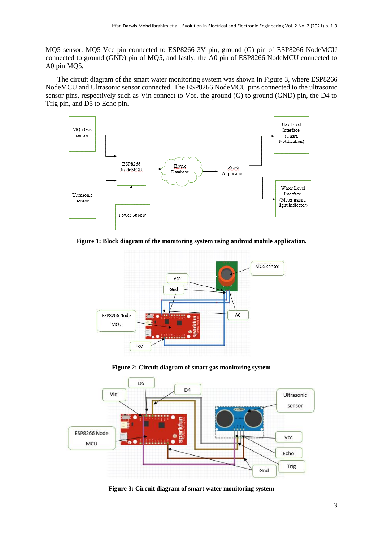MQ5 sensor. MQ5 Vcc pin connected to ESP8266 3V pin, ground (G) pin of ESP8266 NodeMCU connected to ground (GND) pin of MQ5, and lastly, the A0 pin of ESP8266 NodeMCU connected to A0 pin MQ5.

The circuit diagram of the smart water monitoring system was shown in Figure 3, where ESP8266 NodeMCU and Ultrasonic sensor connected. The ESP8266 NodeMCU pins connected to the ultrasonic sensor pins, respectively such as Vin connect to Vcc, the ground (G) to ground (GND) pin, the D4 to Trig pin, and D5 to Echo pin.



**Figure 1: Block diagram of the monitoring system using android mobile application.**



**Figure 2: Circuit diagram of smart gas monitoring system**



**Figure 3: Circuit diagram of smart water monitoring system**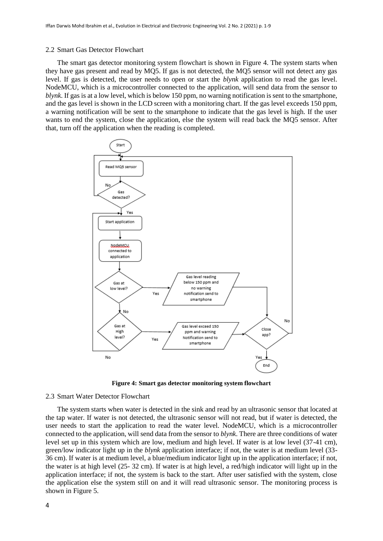#### 2.2 Smart Gas Detector Flowchart

The smart gas detector monitoring system flowchart is shown in Figure 4. The system starts when they have gas present and read by MQ5. If gas is not detected, the MQ5 sensor will not detect any gas level. If gas is detected, the user needs to open or start the *blynk* application to read the gas level. NodeMCU, which is a microcontroller connected to the application, will send data from the sensor to *blynk*. If gas is at a low level, which is below 150 ppm, no warning notification is sent to the smartphone, and the gas level is shown in the LCD screen with a monitoring chart. If the gas level exceeds 150 ppm, a warning notification will be sent to the smartphone to indicate that the gas level is high. If the user wants to end the system, close the application, else the system will read back the MQ5 sensor. After that, turn off the application when the reading is completed.



**Figure 4: Smart gas detector monitoring system flowchart**

#### 2.3 Smart Water Detector Flowchart

The system starts when water is detected in the sink and read by an ultrasonic sensor that located at the tap water. If water is not detected, the ultrasonic sensor will not read, but if water is detected, the user needs to start the application to read the water level. NodeMCU, which is a microcontroller connected to the application, will send data from the sensor to *blynk*. There are three conditions of water level set up in this system which are low, medium and high level. If water is at low level (37-41 cm), green/low indicator light up in the *blynk* application interface; if not, the water is at medium level (33- 36 cm). If water is at medium level, a blue/medium indicator light up in the application interface; if not, the water is at high level (25- 32 cm). If water is at high level, a red/high indicator will light up in the application interface; if not, the system is back to the start. After user satisfied with the system, close the application else the system still on and it will read ultrasonic sensor. The monitoring process is shown in Figure 5.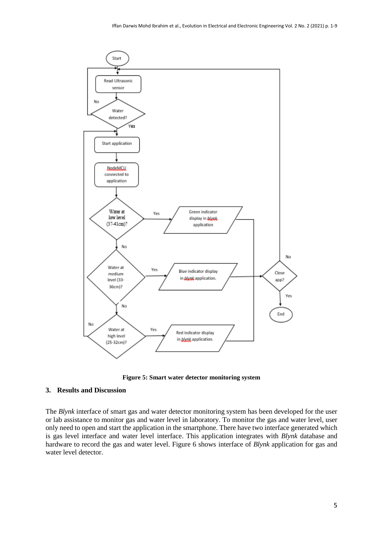

**Figure 5: Smart water detector monitoring system**

# **3. Results and Discussion**

The *Blynk* interface of smart gas and water detector monitoring system has been developed for the user or lab assistance to monitor gas and water level in laboratory. To monitor the gas and water level, user only need to open and start the application in the smartphone. There have two interface generated which is gas level interface and water level interface. This application integrates with *Blynk* database and hardware to record the gas and water level. Figure 6 shows interface of *Blynk* application for gas and water level detector.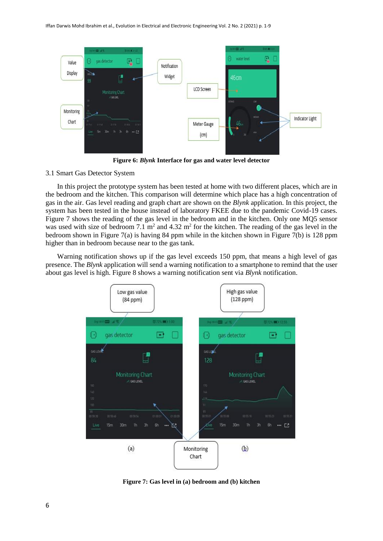

**Figure 6:** *Blynk* **Interface for gas and water level detector**

## 3.1 Smart Gas Detector System

In this project the prototype system has been tested at home with two different places, which are in the bedroom and the kitchen. This comparison will determine which place has a high concentration of gas in the air. Gas level reading and graph chart are shown on the *Blynk* application. In this project, the system has been tested in the house instead of laboratory FKEE due to the pandemic Covid-19 cases. Figure 7 shows the reading of the gas level in the bedroom and in the kitchen. Only one MQ5 sensor was used with size of bedroom 7.1  $m^2$  and 4.32  $m^2$  for the kitchen. The reading of the gas level in the bedroom shown in Figure 7(a) is having 84 ppm while in the kitchen shown in Figure 7(b) is 128 ppm higher than in bedroom because near to the gas tank.

Warning notification shows up if the gas level exceeds 150 ppm, that means a high level of gas presence. The *Blynk* application will send a warning notification to a smartphone to remind that the user about gas level is high. Figure 8 shows a warning notification sent via *Blynk* notification.



**Figure 7: Gas level in (a) bedroom and (b) kitchen**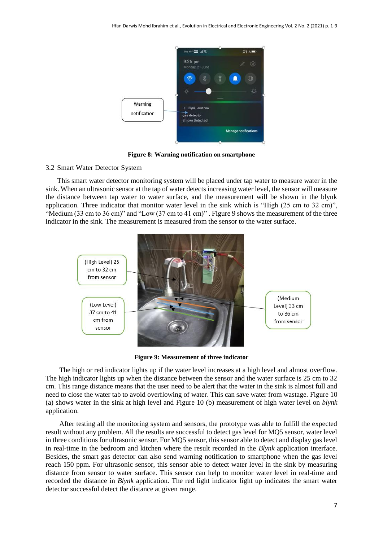

**Figure 8: Warning notification on smartphone**

#### 3.2 Smart Water Detector System

This smart water detector monitoring system will be placed under tap water to measure water in the sink. When an ultrasonic sensor at the tap of water detects increasing water level, the sensor will measure the distance between tap water to water surface, and the measurement will be shown in the blynk application. Three indicator that monitor water level in the sink which is "High (25 cm to 32 cm)", "Medium (33 cm to 36 cm)" and "Low (37 cm to 41 cm)" . Figure 9 shows the measurement of the three indicator in the sink. The measurement is measured from the sensor to the water surface.



**Figure 9: Measurement of three indicator**

The high or red indicator lights up if the water level increases at a high level and almost overflow. The high indicator lights up when the distance between the sensor and the water surface is 25 cm to 32 cm. This range distance means that the user need to be alert that the water in the sink is almost full and need to close the water tab to avoid overflowing of water. This can save water from wastage. Figure 10 (a) shows water in the sink at high level and Figure 10 (b) measurement of high water level on *blynk* application.

After testing all the monitoring system and sensors, the prototype was able to fulfill the expected result without any problem. All the results are successful to detect gas level for MQ5 sensor, water level in three conditions for ultrasonic sensor. For MQ5 sensor, this sensor able to detect and display gas level in real-time in the bedroom and kitchen where the result recorded in the *Blynk* application interface. Besides, the smart gas detector can also send warning notification to smartphone when the gas level reach 150 ppm. For ultrasonic sensor, this sensor able to detect water level in the sink by measuring distance from sensor to water surface. This sensor can help to monitor water level in real-time and recorded the distance in *Blynk* application. The red light indicator light up indicates the smart water detector successful detect the distance at given range.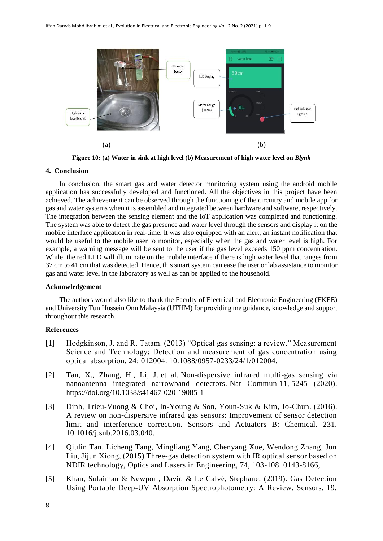

**Figure 10: (a) Water in sink at high level (b) Measurement of high water level on** *Blynk*

# **4. Conclusion**

In conclusion, the smart gas and water detector monitoring system using the android mobile application has successfully developed and functioned. All the objectives in this project have been achieved. The achievement can be observed through the functioning of the circuitry and mobile app for gas and water systems when it is assembled and integrated between hardware and software, respectively. The integration between the sensing element and the IoT application was completed and functioning. The system was able to detect the gas presence and water level through the sensors and display it on the mobile interface application in real-time. It was also equipped with an alert, an instant notification that would be useful to the mobile user to monitor, especially when the gas and water level is high. For example, a warning message will be sent to the user if the gas level exceeds 150 ppm concentration. While, the red LED will illuminate on the mobile interface if there is high water level that ranges from 37 cm to 41 cm that was detected. Hence, this smart system can ease the user or lab assistance to monitor gas and water level in the laboratory as well as can be applied to the household.

#### **Acknowledgement**

The authors would also like to thank the Faculty of Electrical and Electronic Engineering (FKEE) and University Tun Hussein Onn Malaysia (UTHM) for providing me guidance, knowledge and support throughout this research.

# **References**

- [1] Hodgkinson, J. and R. Tatam. (2013) "Optical gas sensing: a review." Measurement Science and Technology: Detection and measurement of gas concentration using optical absorption. 24: 012004. 10.1088/0957-0233/24/1/012004.
- [2] Tan, X., Zhang, H., Li, J. et al. Non-dispersive infrared multi-gas sensing via nanoantenna integrated narrowband detectors. Nat Commun 11, 5245 (2020). <https://doi.org/10.1038/s41467-020-19085-1>
- [3] Dinh, Trieu-Vuong & Choi, In-Young & Son, Youn-Suk & Kim, Jo-Chun. (2016). A review on non-dispersive infrared gas sensors: Improvement of sensor detection limit and interference correction. Sensors and Actuators B: Chemical. 231. 10.1016/j.snb.2016.03.040.
- [4] Qiulin Tan, Licheng Tang, Mingliang Yang, Chenyang Xue, Wendong Zhang, Jun Liu, Jijun Xiong, (2015) Three-gas detection system with IR optical sensor based on NDIR technology, Optics and Lasers in Engineering, 74, 103-108. 0143-8166,
- [5] Khan, Sulaiman & Newport, David & Le Calvé, Stephane. (2019). Gas Detection Using Portable Deep-UV Absorption Spectrophotometry: A Review. Sensors. 19.